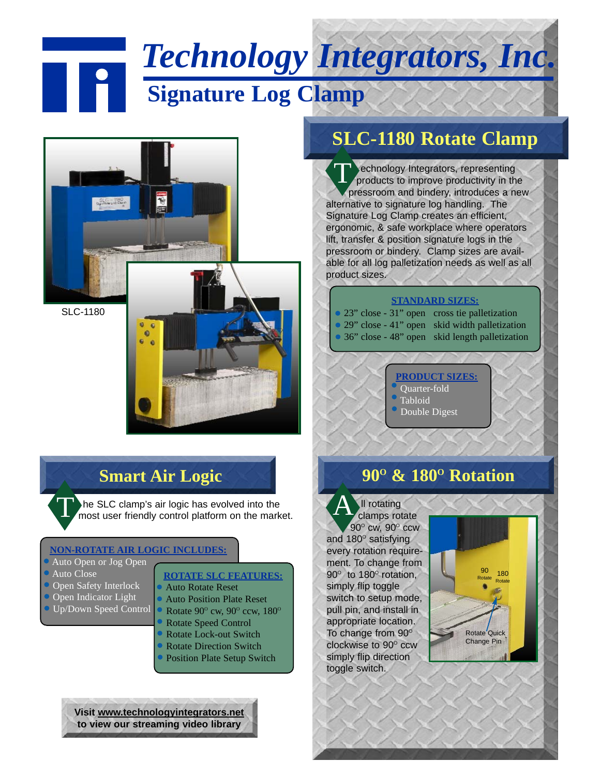# *Technology Integrators, Inc.* **Signature Log Clamp**





he SLC clamp's air logic has evolved into the The SLC clamp's air logic has evolved into the market.

### **NON-ROTATE AIR LOGIC INCLUDES:**

### Auto Open or Jog Open

- Auto Close
- **Open Safety Interlock**
- Open Indicator Light
- Up/Down Speed Control

- **ROTATE SLC FEATURES:**
- Auto Rotate Reset
- Auto Position Plate Reset
- Rotate  $90^\circ$  cw,  $90^\circ$  ccw,  $180^\circ$
- Rotate Speed Control
- Rotate Lock-out Switch
- Rotate Direction Switch Position Plate Setup Switch

#### **Visit www.technologyintegrators.net to view our streaming video library**

## **SLC-1180 Rotate Clamp**

echnology Integrators, representing products to improve productivity in the pressroom and bindery, introduces a new alternative to signature log handling. The Signature Log Clamp creates an efficient, ergonomic, & safe workplace where operators lift, transfer & position signature logs in the pressroom or bindery. Clamp sizes are available for all log palletization needs as well as all product sizes. T

#### **STANDARD SIZES:**

• 23" close - 31" open cross tie palletization 29" close - 41" open skid width palletization 36" close - 48" open skid length palletization

#### **PRODUCT SIZES:** Quarter-fold

- Tabloid
- 
- Double Digest

### **Smart Air Logic Conserversity 180<sup>o</sup> & 180<sup>o</sup> Rotation**

ll rotating clamps rotate  $90^\circ$  cw,  $90^\circ$  ccw and  $180^\circ$  satisfying every rotation requirement. To change from  $90^\circ$  to 180 $^\circ$  rotation, simply flip toggle switch to setup mode, pull pin, and install in appropriate location. To change from  $90^\circ$  $clockwise$  to  $90^\circ$  ccw simply flip direction toggle switch.